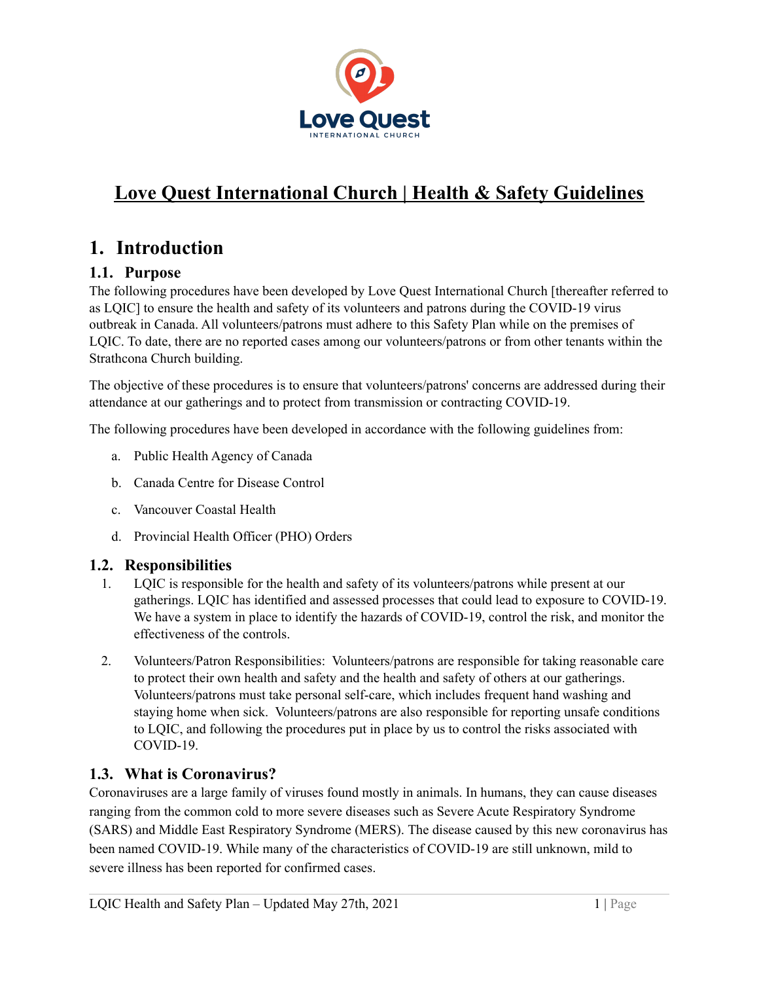

# **Love Quest International Church | Health & Safety Guidelines**

## **1. Introduction**

## **1.1. Purpose**

The following procedures have been developed by Love Quest International Church [thereafter referred to as LQIC] to ensure the health and safety of its volunteers and patrons during the COVID-19 virus outbreak in Canada. All volunteers/patrons must adhere to this Safety Plan while on the premises of LQIC. To date, there are no reported cases among our volunteers/patrons or from other tenants within the Strathcona Church building.

The objective of these procedures is to ensure that volunteers/patrons' concerns are addressed during their attendance at our gatherings and to protect from transmission or contracting COVID-19.

The following procedures have been developed in accordance with the following guidelines from:

- a. Public Health Agency of Canada
- b. Canada Centre for Disease Control
- c. Vancouver Coastal Health
- d. Provincial Health Officer (PHO) Orders

### **1.2. Responsibilities**

- 1. LQIC is responsible for the health and safety of its volunteers/patrons while present at our gatherings. LQIC has identified and assessed processes that could lead to exposure to COVID-19. We have a system in place to identify the hazards of COVID-19, control the risk, and monitor the effectiveness of the controls.
- 2. Volunteers/Patron Responsibilities: Volunteers/patrons are responsible for taking reasonable care to protect their own health and safety and the health and safety of others at our gatherings. Volunteers/patrons must take personal self-care, which includes frequent hand washing and staying home when sick. Volunteers/patrons are also responsible for reporting unsafe conditions to LQIC, and following the procedures put in place by us to control the risks associated with COVID-19.

### **1.3. What is Coronavirus?**

Coronaviruses are a large family of viruses found mostly in animals. In humans, they can cause diseases ranging from the common cold to more severe diseases such as Severe Acute Respiratory Syndrome (SARS) and Middle East Respiratory Syndrome (MERS). The disease caused by this new coronavirus has been named COVID-19. While many of the characteristics of COVID-19 are still unknown, mild to severe illness has been reported for confirmed cases.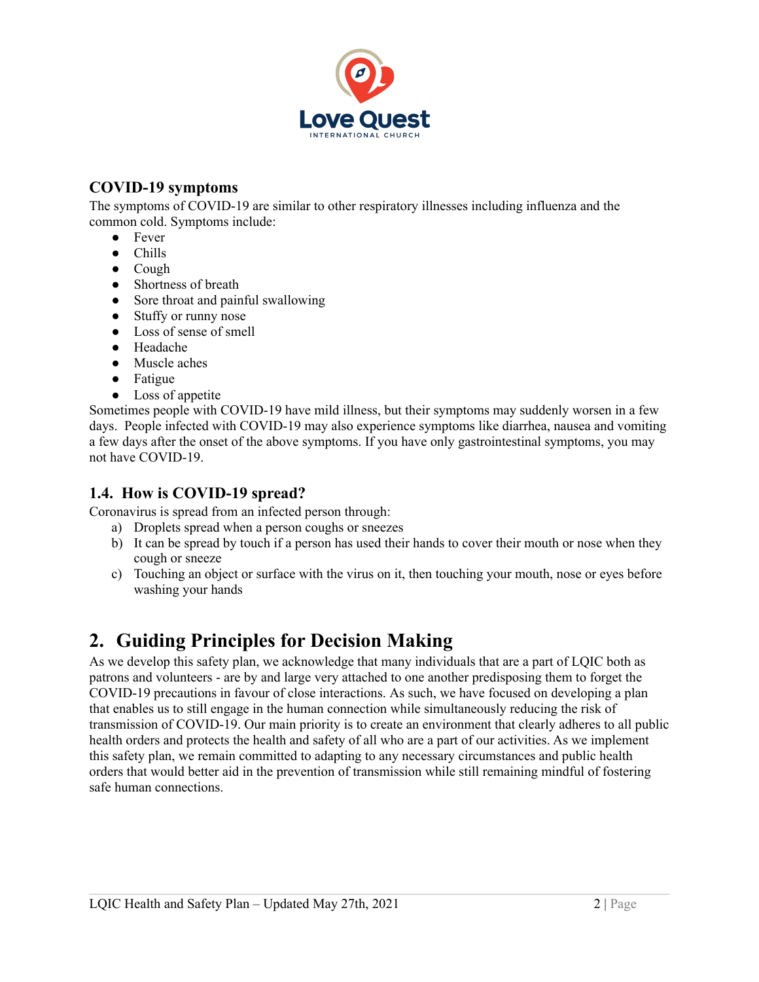

## **COVID-19 symptoms**

The symptoms of COVID-19 are similar to other respiratory illnesses including influenza and the common cold. Symptoms include:

- Fever
- Chills
- Cough
- Shortness of breath
- Sore throat and painful swallowing
- Stuffy or runny nose
- Loss of sense of smell
- Headache
- Muscle aches
- Fatigue
- Loss of appetite

Sometimes people with COVID-19 have mild illness, but their symptoms may suddenly worsen in a few days. People infected with COVID-19 may also experience symptoms like diarrhea, nausea and vomiting a few days after the onset of the above symptoms. If you have only gastrointestinal symptoms, you may not have COVID-19.

### **1.4. How is COVID-19 spread?**

Coronavirus is spread from an infected person through:

- a) Droplets spread when a person coughs or sneezes
- b) It can be spread by touch if a person has used their hands to cover their mouth or nose when they cough or sneeze
- c) Touching an object or surface with the virus on it, then touching your mouth, nose or eyes before washing your hands

## **2. Guiding Principles for Decision Making**

As we develop this safety plan, we acknowledge that many individuals that are a part of LQIC both as patrons and volunteers - are by and large very attached to one another predisposing them to forget the COVID-19 precautions in favour of close interactions. As such, we have focused on developing a plan that enables us to still engage in the human connection while simultaneously reducing the risk of transmission of COVID-19. Our main priority is to create an environment that clearly adheres to all public health orders and protects the health and safety of all who are a part of our activities. As we implement this safety plan, we remain committed to adapting to any necessary circumstances and public health orders that would better aid in the prevention of transmission while still remaining mindful of fostering safe human connections.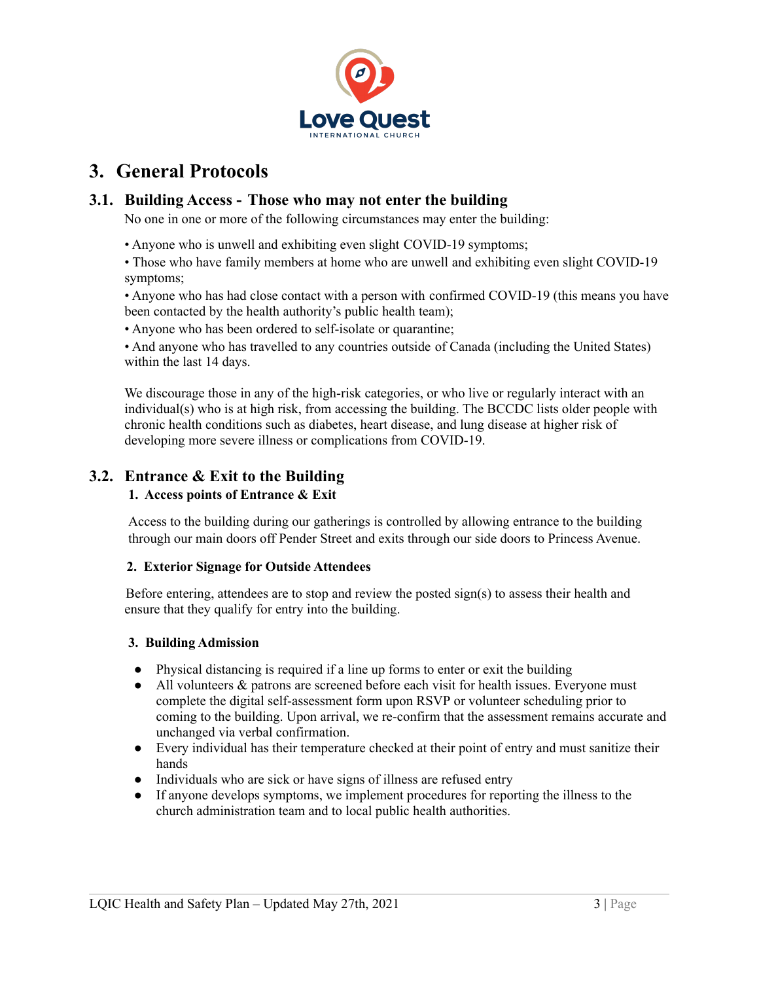

## **3. General Protocols**

### **3.1. Building Access - Those who may not enter the building**

No one in one or more of the following circumstances may enter the building:

• Anyone who is unwell and exhibiting even slight COVID-19 symptoms;

• Those who have family members at home who are unwell and exhibiting even slight COVID-19 symptoms;

• Anyone who has had close contact with a person with confirmed COVID-19 (this means you have been contacted by the health authority's public health team);

• Anyone who has been ordered to self-isolate or quarantine;

• And anyone who has travelled to any countries outside of Canada (including the United States) within the last 14 days.

We discourage those in any of the high-risk categories, or who live or regularly interact with an individual(s) who is at high risk, from accessing the building. The BCCDC lists older people with chronic health conditions such as diabetes, heart disease, and lung disease at higher risk of developing more severe illness or complications from COVID-19.

## **3.2. Entrance & Exit to the Building**

#### **1. Access points of Entrance & Exit**

Access to the building during our gatherings is controlled by allowing entrance to the building through our main doors off Pender Street and exits through our side doors to Princess Avenue.

#### **2. Exterior Signage for Outside Attendees**

Before entering, attendees are to stop and review the posted sign(s) to assess their health and ensure that they qualify for entry into the building.

#### **3. Building Admission**

- Physical distancing is required if a line up forms to enter or exit the building
- All volunteers & patrons are screened before each visit for health issues. Everyone must complete the digital self-assessment form upon RSVP or volunteer scheduling prior to coming to the building. Upon arrival, we re-confirm that the assessment remains accurate and unchanged via verbal confirmation.
- Every individual has their temperature checked at their point of entry and must sanitize their hands
- Individuals who are sick or have signs of illness are refused entry
- If anyone develops symptoms, we implement procedures for reporting the illness to the church administration team and to local public health authorities.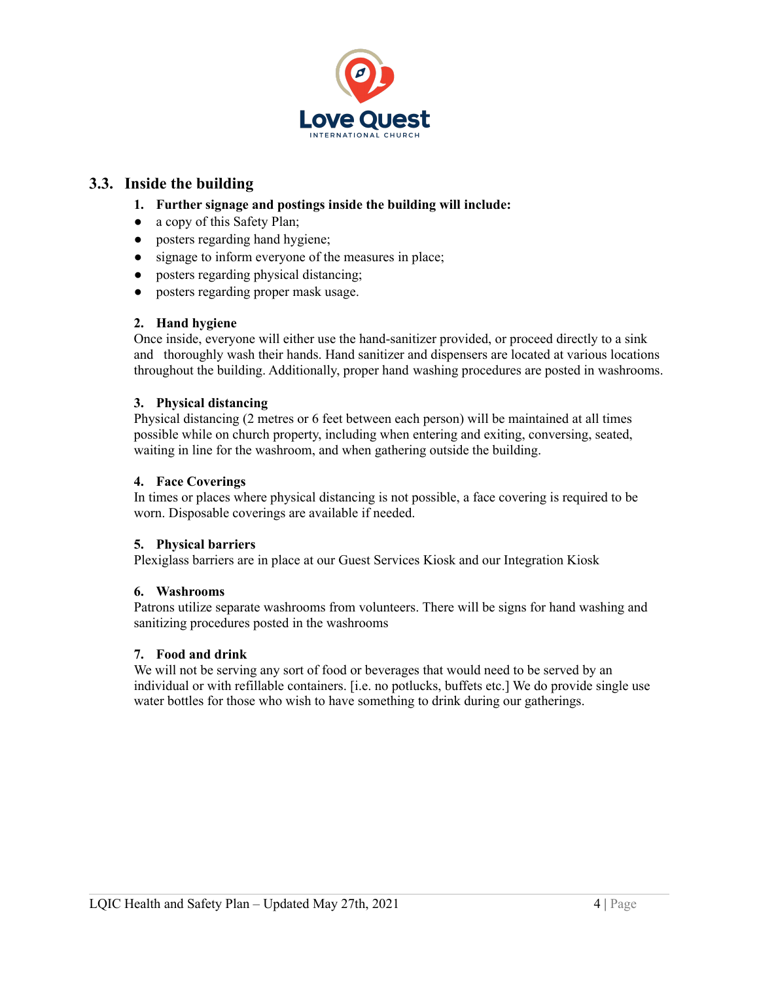

### **3.3. Inside the building**

- **1. Further signage and postings inside the building will include:**
- a copy of this Safety Plan;
- posters regarding hand hygiene;
- signage to inform everyone of the measures in place;
- posters regarding physical distancing;
- posters regarding proper mask usage.

#### **2. Hand hygiene**

Once inside, everyone will either use the hand-sanitizer provided, or proceed directly to a sink and thoroughly wash their hands. Hand sanitizer and dispensers are located at various locations throughout the building. Additionally, proper hand washing procedures are posted in washrooms.

#### **3. Physical distancing**

Physical distancing (2 metres or 6 feet between each person) will be maintained at all times possible while on church property, including when entering and exiting, conversing, seated, waiting in line for the washroom, and when gathering outside the building.

#### **4. Face Coverings**

In times or places where physical distancing is not possible, a face covering is required to be worn. Disposable coverings are available if needed.

#### **5. Physical barriers**

Plexiglass barriers are in place at our Guest Services Kiosk and our Integration Kiosk

#### **6. Washrooms**

Patrons utilize separate washrooms from volunteers. There will be signs for hand washing and sanitizing procedures posted in the washrooms

#### **7. Food and drink**

We will not be serving any sort of food or beverages that would need to be served by an individual or with refillable containers. [i.e. no potlucks, buffets etc.] We do provide single use water bottles for those who wish to have something to drink during our gatherings.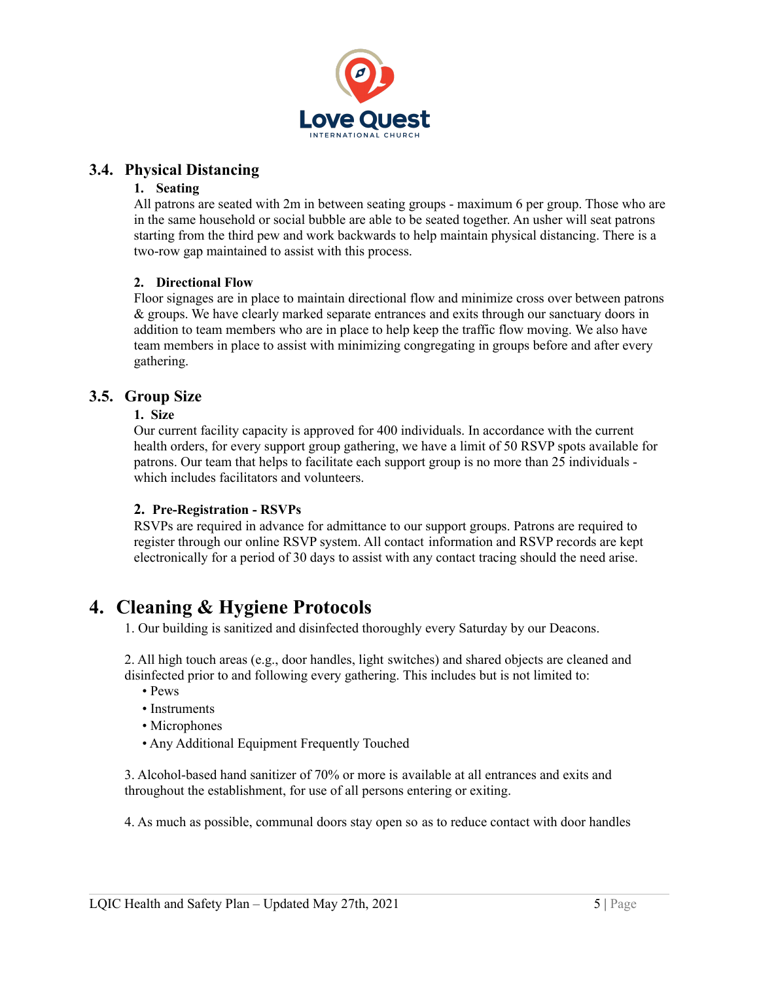

### **3.4. Physical Distancing**

#### **1. Seating**

All patrons are seated with 2m in between seating groups - maximum 6 per group. Those who are in the same household or social bubble are able to be seated together. An usher will seat patrons starting from the third pew and work backwards to help maintain physical distancing. There is a two-row gap maintained to assist with this process.

#### **2. Directional Flow**

Floor signages are in place to maintain directional flow and minimize cross over between patrons & groups. We have clearly marked separate entrances and exits through our sanctuary doors in addition to team members who are in place to help keep the traffic flow moving. We also have team members in place to assist with minimizing congregating in groups before and after every gathering.

### **3.5. Group Size**

#### **1. Size**

Our current facility capacity is approved for 400 individuals. In accordance with the current health orders, for every support group gathering, we have a limit of 50 RSVP spots available for patrons. Our team that helps to facilitate each support group is no more than 25 individuals which includes facilitators and volunteers.

#### **2. Pre-Registration - RSVPs**

RSVPs are required in advance for admittance to our support groups. Patrons are required to register through our online RSVP system. All contact information and RSVP records are kept electronically for a period of 30 days to assist with any contact tracing should the need arise.

## **4. Cleaning & Hygiene Protocols**

1. Our building is sanitized and disinfected thoroughly every Saturday by our Deacons.

2. All high touch areas (e.g., door handles, light switches) and shared objects are cleaned and disinfected prior to and following every gathering. This includes but is not limited to:

- Pews
- Instruments
- Microphones
- Any Additional Equipment Frequently Touched

3. Alcohol-based hand sanitizer of 70% or more is available at all entrances and exits and throughout the establishment, for use of all persons entering or exiting.

4. As much as possible, communal doors stay open so as to reduce contact with door handles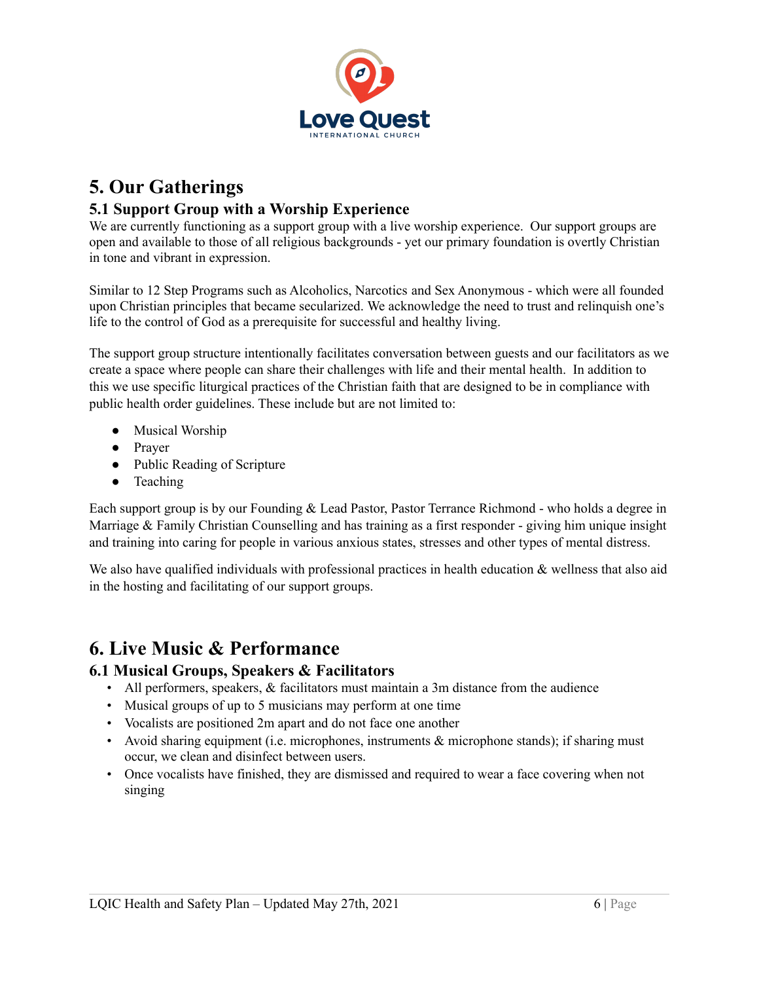

## **5. Our Gatherings**

## **5.1 Support Group with a Worship Experience**

We are currently functioning as a support group with a live worship experience. Our support groups are open and available to those of all religious backgrounds - yet our primary foundation is overtly Christian in tone and vibrant in expression.

Similar to 12 Step Programs such as Alcoholics, Narcotics and Sex Anonymous - which were all founded upon Christian principles that became secularized. We acknowledge the need to trust and relinquish one's life to the control of God as a prerequisite for successful and healthy living.

The support group structure intentionally facilitates conversation between guests and our facilitators as we create a space where people can share their challenges with life and their mental health. In addition to this we use specific liturgical practices of the Christian faith that are designed to be in compliance with public health order guidelines. These include but are not limited to:

- Musical Worship
- Prayer
- Public Reading of Scripture
- Teaching

Each support group is by our Founding & Lead Pastor, Pastor Terrance Richmond - who holds a degree in Marriage & Family Christian Counselling and has training as a first responder - giving him unique insight and training into caring for people in various anxious states, stresses and other types of mental distress.

We also have qualified individuals with professional practices in health education  $\&$  wellness that also aid in the hosting and facilitating of our support groups.

## **6. Live Music & Performance**

### **6.1 Musical Groups, Speakers & Facilitators**

- All performers, speakers, & facilitators must maintain a 3m distance from the audience
- Musical groups of up to 5 musicians may perform at one time
- Vocalists are positioned 2m apart and do not face one another
- Avoid sharing equipment (i.e. microphones, instruments & microphone stands); if sharing must occur, we clean and disinfect between users.
- Once vocalists have finished, they are dismissed and required to wear a face covering when not singing